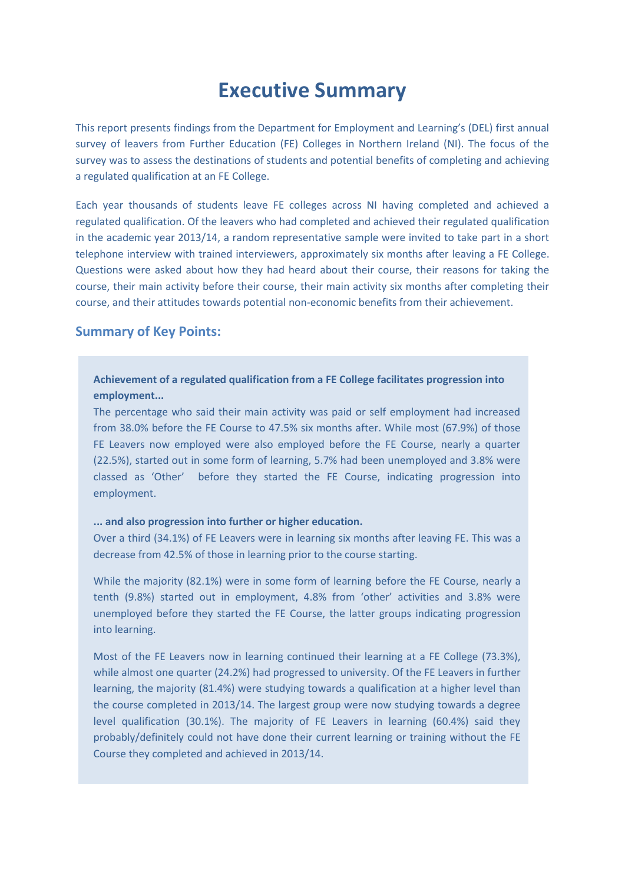# **Executive Summary**

This report presents findings from the Department for Employment and Learning's (DEL) first annual survey of leavers from Further Education (FE) Colleges in Northern Ireland (NI). The focus of the survey was to assess the destinations of students and potential benefits of completing and achieving a regulated qualification at an FE College.

Each year thousands of students leave FE colleges across NI having completed and achieved a regulated qualification. Of the leavers who had completed and achieved their regulated qualification in the academic year 2013/14, a random representative sample were invited to take part in a short telephone interview with trained interviewers, approximately six months after leaving a FE College. Questions were asked about how they had heard about their course, their reasons for taking the course, their main activity before their course, their main activity six months after completing their course, and their attitudes towards potential non-economic benefits from their achievement.

## **Summary of Key Points:**

### **Achievement of a regulated qualification from a FE College facilitates progression into employment...**

The percentage who said their main activity was paid or self employment had increased from 38.0% before the FE Course to 47.5% six months after. While most (67.9%) of those FE Leavers now employed were also employed before the FE Course, nearly a quarter (22.5%), started out in some form of learning, 5.7% had been unemployed and 3.8% were classed as 'Other' before they started the FE Course, indicating progression into employment.

#### **... and also progression into further or higher education.**

Over a third (34.1%) of FE Leavers were in learning six months after leaving FE. This was a decrease from 42.5% of those in learning prior to the course starting.

While the majority (82.1%) were in some form of learning before the FE Course, nearly a tenth (9.8%) started out in employment, 4.8% from 'other' activities and 3.8% were unemployed before they started the FE Course, the latter groups indicating progression into learning.

Most of the FE Leavers now in learning continued their learning at a FE College (73.3%), while almost one quarter (24.2%) had progressed to university. Of the FE Leavers in further learning, the majority (81.4%) were studying towards a qualification at a higher level than the course completed in 2013/14. The largest group were now studying towards a degree level qualification (30.1%). The majority of FE Leavers in learning (60.4%) said they probably/definitely could not have done their current learning or training without the FE Course they completed and achieved in 2013/14.